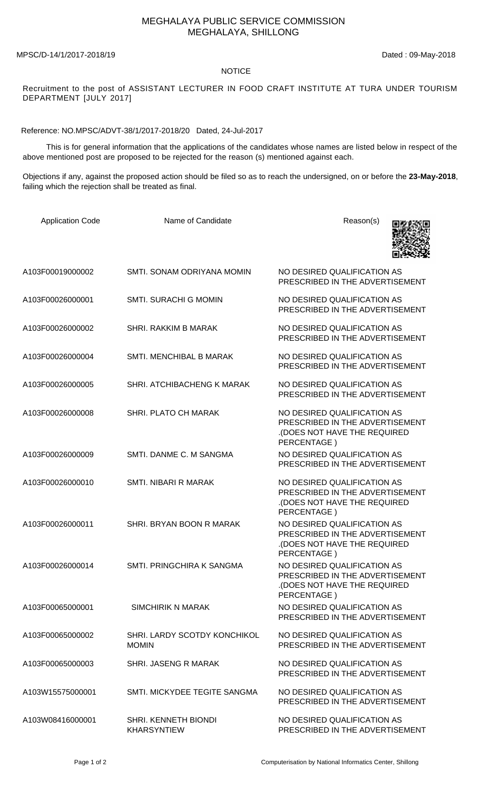## MEGHALAYA PUBLIC SERVICE COMMISSION MEGHALAYA, SHILLONG

MPSC/D-14/1/2017-2018/19 Dated : 09-May-2018

## NOTICE

Recruitment to the post of ASSISTANT LECTURER IN FOOD CRAFT INSTITUTE AT TURA UNDER TOURISM DEPARTMENT [JULY 2017]

Reference: NO.MPSC/ADVT-38/1/2017-2018/20 Dated, 24-Jul-2017

 This is for general information that the applications of the candidates whose names are listed below in respect of the above mentioned post are proposed to be rejected for the reason (s) mentioned against each.

Objections if any, against the proposed action should be filed so as to reach the undersigned, on or before the **23-May-2018**, failing which the rejection shall be treated as final.

| <b>Application Code</b> | Name of Candidate                                 | Reason(s)                                                                                                    |
|-------------------------|---------------------------------------------------|--------------------------------------------------------------------------------------------------------------|
| A103F00019000002        | SMTI, SONAM ODRIYANA MOMIN                        | NO DESIRED QUALIFICATION AS<br>PRESCRIBED IN THE ADVERTISEMENT                                               |
| A103F00026000001        | <b>SMTI. SURACHI G MOMIN</b>                      | NO DESIRED QUALIFICATION AS<br>PRESCRIBED IN THE ADVERTISEMENT                                               |
| A103F00026000002        | SHRI. RAKKIM B MARAK                              | NO DESIRED QUALIFICATION AS<br>PRESCRIBED IN THE ADVERTISEMENT                                               |
| A103F00026000004        | <b>SMTI. MENCHIBAL B MARAK</b>                    | NO DESIRED QUALIFICATION AS<br>PRESCRIBED IN THE ADVERTISEMENT                                               |
| A103F00026000005        | SHRI. ATCHIBACHENG K MARAK                        | NO DESIRED QUALIFICATION AS<br>PRESCRIBED IN THE ADVERTISEMENT                                               |
| A103F00026000008        | SHRI. PLATO CH MARAK                              | NO DESIRED QUALIFICATION AS<br>PRESCRIBED IN THE ADVERTISEMENT<br>(DOES NOT HAVE THE REQUIRED<br>PERCENTAGE) |
| A103F00026000009        | SMTI. DANME C. M SANGMA                           | NO DESIRED QUALIFICATION AS<br>PRESCRIBED IN THE ADVERTISEMENT                                               |
| A103F00026000010        | SMTI. NIBARI R MARAK                              | NO DESIRED QUALIFICATION AS<br>PRESCRIBED IN THE ADVERTISEMENT<br>(DOES NOT HAVE THE REQUIRED<br>PERCENTAGE) |
| A103F00026000011        | SHRI. BRYAN BOON R MARAK                          | NO DESIRED QUALIFICATION AS<br>PRESCRIBED IN THE ADVERTISEMENT<br>(DOES NOT HAVE THE REQUIRED<br>PERCENTAGE) |
| A103F00026000014        | SMTI. PRINGCHIRA K SANGMA                         | NO DESIRED QUALIFICATION AS<br>PRESCRIBED IN THE ADVERTISEMENT<br>(DOES NOT HAVE THE REQUIRED<br>PERCENTAGE) |
| A103F00065000001        | <b>SIMCHIRIK N MARAK</b>                          | NO DESIRED QUALIFICATION AS<br>PRESCRIBED IN THE ADVERTISEMENT                                               |
| A103F00065000002        | SHRI. LARDY SCOTDY KONCHIKOL<br><b>MOMIN</b>      | NO DESIRED QUALIFICATION AS<br>PRESCRIBED IN THE ADVERTISEMENT                                               |
| A103F00065000003        | SHRI. JASENG R MARAK                              | NO DESIRED QUALIFICATION AS<br>PRESCRIBED IN THE ADVERTISEMENT                                               |
| A103W15575000001        | SMTI. MICKYDEE TEGITE SANGMA                      | NO DESIRED QUALIFICATION AS<br>PRESCRIBED IN THE ADVERTISEMENT                                               |
| A103W08416000001        | <b>SHRI. KENNETH BIONDI</b><br><b>KHARSYNTIEW</b> | NO DESIRED QUALIFICATION AS<br>PRESCRIBED IN THE ADVERTISEMENT                                               |